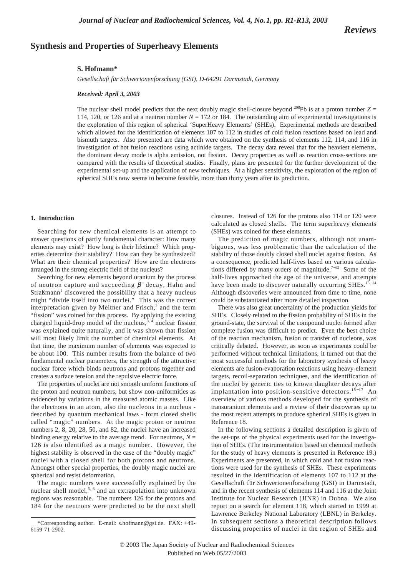*Reviews*

# **Synthesis and Properties of Superheavy Elements**

### **S. Hofmann\***

*Gesellschaft für Schwerionenforschung (GSI), D-64291 Darmstadt, Germany* 

## *Received: April 3, 2003*

The nuclear shell model predicts that the next doubly magic shell-closure beyond <sup>208</sup>Pb is at a proton number  $Z =$ 114, 120, or 126 and at a neutron number  $N = 172$  or 184. The outstanding aim of experimental investigations is the exploration of this region of spherical 'SuperHeavy Elements' (SHEs). Experimental methods are described which allowed for the identification of elements 107 to 112 in studies of cold fusion reactions based on lead and bismuth targets. Also presented are data which were obtained on the synthesis of elements 112, 114, and 116 in investigation of hot fusion reactions using actinide targets. The decay data reveal that for the heaviest elements, the dominant decay mode is alpha emission, not fission. Decay properties as well as reaction cross-sections are compared with the results of theoretical studies. Finally, plans are presented for the further development of the experimental set-up and the application of new techniques. At a higher sensitivity, the exploration of the region of spherical SHEs now seems to become feasible, more than thirty years after its prediction.

### **1. Introduction**

Searching for new chemical elements is an attempt to answer questions of partly fundamental character: How many elements may exist? How long is their lifetime? Which properties determine their stability? How can they be synthesized? What are their chemical properties? How are the electrons arranged in the strong electric field of the nucleus?

Searching for new elements beyond uranium by the process of neutron capture and succeeding  $\beta^-$  decay, Hahn and Straßmann<sup>1</sup> discovered the possibility that a heavy nucleus might "divide itself into two nuclei." This was the correct interpretation given by Meitner and Frisch, $2$  and the term "fission" was coined for this process. By applying the existing charged liquid-drop model of the nucleus,  $3, 4$  nuclear fission was explained quite naturally, and it was shown that fission will most likely limit the number of chemical elements. At that time, the maximum number of elements was expected to be about 100. This number results from the balance of two fundamental nuclear parameters, the strength of the attractive nuclear force which binds neutrons and protons together and creates a surface tension and the repulsive electric force.

The properties of nuclei are not smooth uniform functions of the proton and neutron numbers, but show non-uniformities as evidenced by variations in the measured atomic masses. Like the electrons in an atom, also the nucleons in a nucleus described by quantum mechanical laws - form closed shells called "magic" numbers. At the magic proton or neutron numbers 2, 8, 20, 28, 50, and 82, the nuclei have an increased binding energy relative to the average trend. For neutrons,  $N =$ 126 is also identified as a magic number. However, the highest stability is observed in the case of the "doubly magic" nuclei with a closed shell for both protons and neutrons. Amongst other special properties, the doubly magic nuclei are spherical and resist deformation.

The magic numbers were successfully explained by the nuclear shell model,<sup>5, 6</sup> and an extrapolation into unknown regions was reasonable. The numbers 126 for the protons and 184 for the neutrons were predicted to be the next shell

closures. Instead of 126 for the protons also 114 or 120 were calculated as closed shells. The term superheavy elements (SHEs) was coined for these elements.

The prediction of magic numbers, although not unambiguous, was less problematic than the calculation of the stability of those doubly closed shell nuclei against fission. As a consequence, predicted half-lives based on various calculations differed by many orders of magnitude.<sup>7-12</sup> Some of the half-lives approached the age of the universe, and attempts have been made to discover naturally occurring SHEs.<sup>13, 14</sup> Although discoveries were announced from time to time, none could be substantiated after more detailed inspection.

There was also great uncertainty of the production yields for SHEs. Closely related to the fission probability of SHEs in the ground-state, the survival of the compound nuclei formed after complete fusion was difficult to predict. Even the best choice of the reaction mechanism, fusion or transfer of nucleons, was critically debated. However, as soon as experiments could be performed without technical limitations, it turned out that the most successful methods for the laboratory synthesis of heavy elements are fusion-evaporation reactions using heavy-element targets, recoil-separation techniques, and the identification of the nuclei by generic ties to known daughter decays after implantation into position-sensitive detectors.<sup>15−17</sup> An overview of various methods developed for the synthesis of transuranium elements and a review of their discoveries up to the most recent attempts to produce spherical SHEs is given in Reference 18.

In the following sections a detailed description is given of the set-ups of the physical experiments used for the investigation of SHEs. (The instrumentation based on chemical methods for the study of heavy elements is presented in Reference 19.) Experiments are presented, in which cold and hot fusion reactions were used for the synthesis of SHEs. These experiments resulted in the identification of elements 107 to 112 at the Gesellschaft für Schwerionenforschung (GSI) in Darmstadt, and in the recent synthesis of elements 114 and 116 at the Joint Institute for Nuclear Research (JINR) in Dubna. We also report on a search for element 118, which started in 1999 at Lawrence Berkeley National Laboratory (LBNL) in Berkeley. In subsequent sections a theoretical description follows discussing properties of nuclei in the region of SHEs and

<sup>\*</sup>Corresponding author. E-mail: s.hofmann@gsi.de. FAX: +49- 6159-71-2902.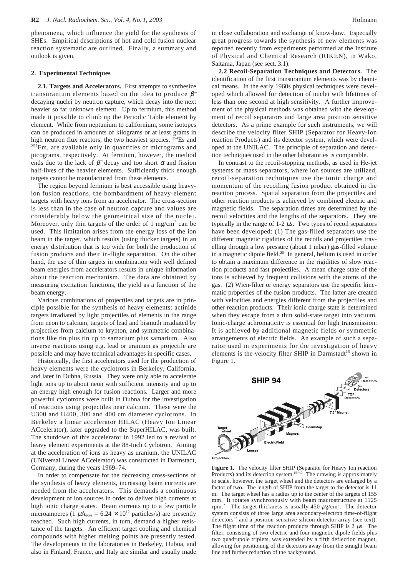phenomena, which influence the yield for the synthesis of SHEs. Empirical descriptions of hot and cold fusion nuclear reaction systematic are outlined. Finally, a summary and outlook is given.

### **2. Experimental Techniques**

**2.1. Targets and Accelerators.** First attempts to synthesize transuranium elements based on the idea to produce  $\beta$ <sup>−</sup> decaying nuclei by neutron capture, which decay into the next heavier so far unknown element. Up to fermium, this method made it possible to climb up the Periodic Table element by element. While from neptunium to californium, some isotopes can be produced in amounts of kilograms or at least grams in high neutron flux reactors, the two heaviest species, <sup>254</sup>Es and <sup>257</sup>Fm, are available only in quantities of micrograms and picograms, respectively. At fermium, however, the method ends due to the lack of  $\beta^-$  decay and too short  $\alpha$  and fission half-lives of the heavier elements. Sufficiently thick enough targets cannot be manufactured from these elements.

The region beyond fermium is best accessible using heavyion fusion reactions, the bombardment of heavy-element targets with heavy ions from an accelerator. The cross-section is less than in the case of neutron capture and values are considerably below the geometrical size of the nuclei. Moreover, only thin targets of the order of 1 mg/cm<sup>2</sup> can be used. This limitation arises from the energy loss of the ion beam in the target, which results (using thicker targets) in an energy distribution that is too wide for both the production of fusion products and their in-flight separation. On the other hand, the use of thin targets in combination with well defined beam energies from accelerators results in unique information about the reaction mechanism. The data are obtained by measuring excitation functions, the yield as a function of the beam energy.

Various combinations of projectiles and targets are in principle possible for the synthesis of heavy elements: actinide targets irradiated by light projectiles of elements in the range from neon to calcium, targets of lead and bismuth irradiated by projectiles from calcium to krypton, and symmetric combinations like tin plus tin up to samarium plus samarium. Also inverse reactions using e.g. lead or uranium as projectile are possible and may have technical advantages in specific cases.

Historically, the first accelerators used for the production of heavy elements were the cyclotrons in Berkeley, California, and later in Dubna, Russia. They were only able to accelerate light ions up to about neon with sufficient intensity and up to an energy high enough for fusion reactions. Larger and more powerful cyclotrons were built in Dubna for the investigation of reactions using projectiles near calcium. These were the U300 and U400, 300 and 400 cm diameter cyclotrons. In Berkeley a linear accelerator HILAC (Heavy Ion Linear ACcelerator), later upgraded to the SuperHILAC, was built. The shutdown of this accelerator in 1992 led to a revival of heavy element experiments at the 88-Inch Cyclotron. Aiming at the acceleration of ions as heavy as uranium, the UNILAC (UNIversal Linear ACcelerator) was constructed in Darmstadt, Germany, during the years 1969–74.

In order to compensate for the decreasing cross-sections of the synthesis of heavy elements, increasing beam currents are needed from the accelerators. This demands a continuous development of ion sources in order to deliver high currents at high ionic charge states. Beam currents up to a few particle microamperes (1  $\mu A_{part} = 6.24 \times 10^{12}$  particles/s) are presently reached. Such high currents, in turn, demand a higher resistance of the targets. An efficient target cooling and chemical compounds with higher melting points are presently tested. The developments in the laboratories in Berkeley, Dubna, and also in Finland, France, and Italy are similar and usually made in close collaboration and exchange of know-how. Especially great progress towards the synthesis of new elements was reported recently from experiments performed at the Institute of Physical and Chemical Research (RIKEN), in Wako, Saitama, Japan (see sect. 3.1).

**2.2 Recoil-Separation Techniques and Detectors.** The identification of the first transuranium elements was by chemical means. In the early 1960s physical techniques were developed which allowed for detection of nuclei with lifetimes of less than one second at high sensitivity. A further improvement of the physical methods was obtained with the development of recoil separators and large area position sensitive detectors. As a prime example for such instruments, we will describe the velocity filter SHIP (Separator for Heavy-Ion reaction Products) and its detector system, which were developed at the UNILAC. The principle of separation and detection techniques used in the other laboratories is comparable.

In contrast to the recoil-stopping methods, as used in He-jet systems or mass separators, where ion sources are utilized, recoil-separation techniques use the ionic charge and momentum of the recoiling fusion product obtained in the reaction process. Spatial separation from the projectiles and other reaction products is achieved by combined electric and magnetic fields. The separation times are determined by the recoil velocities and the lengths of the separators. They are typically in the range of  $1-2 \mu s$ . Two types of recoil separators have been developed: (1) The gas-filled separators use the different magnetic rigidities of the recoils and projectiles travelling through a low pressure (about 1 mbar) gas-filled volume in a magnetic dipole field.<sup>20</sup> In general, helium is used in order to obtain a maximum difference in the rigidities of slow reaction products and fast projectiles. A mean charge state of the ions is achieved by frequent collisions with the atoms of the gas. (2) Wien-filter or energy separators use the specific kinematic properties of the fusion products. The latter are created with velocities and energies different from the projectiles and other reaction products. Their ionic charge state is determined when they escape from a thin solid-state target into vacuum. Ionic-charge achromaticity is essential for high transmission. It is achieved by additional magnetic fields or symmetric arrangements of electric fields. An example of such a separator used in experiments for the investigation of heavy elements is the velocity filter SHIP in Darmstadt<sup>15</sup> shown in Figure 1.



**Figure 1.** The velocity filter SHIP (Separator for Heavy Ion reaction Products) and its detection system.<sup>15−17</sup> The drawing is approximately to scale, however, the target wheel and the detectors are enlarged by a factor of two. The length of SHIP from the target to the detector is 11 m. The target wheel has a radius up to the center of the targets of 155 mm. It rotates synchronously with beam macrostructure at 1125 rpm.<sup>21</sup> The target thickness is usually  $450 \mu g/cm^2$ . The detector system consists of three large area secondary-electron time-of-flight detectors<sup>22</sup> and a position-sensitive silicon-detector array (see text). The flight time of the reaction products through SHIP is  $2 \mu s$ . The filter, consisting of two electric and four magnetic dipole fields plus two quadrupole triplets, was extended by a fifth deflection magnet, allowing for positioning of the detectors away from the straight beam line and further reduction of the background.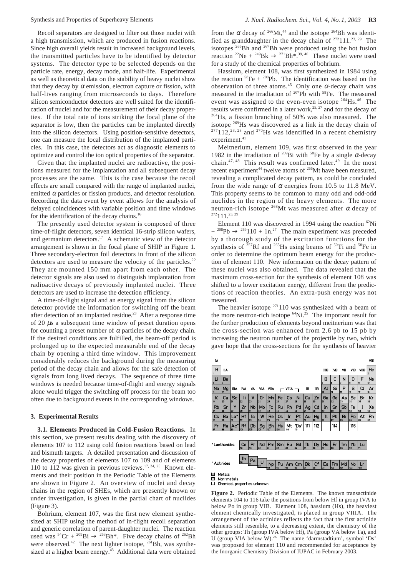*J. Nucl. Radiochem. Sci., Vol. 4, No. 1, 2003* **R3**

Recoil separators are designed to filter out those nuclei with a high transmission, which are produced in fusion reactions. Since high overall yields result in increased background levels, the transmitted particles have to be identified by detector systems. The detector type to be selected depends on the particle rate, energy, decay mode, and half-life. Experimental as well as theoretical data on the stability of heavy nuclei show that they decay by  $\alpha$  emission, electron capture or fission, with half-lives ranging from microseconds to days. Therefore silicon semiconductor detectors are well suited for the identification of nuclei and for the measurement of their decay properties. If the total rate of ions striking the focal plane of the separator is low, then the particles can be implanted directly into the silicon detectors. Using position-sensitive detectors, one can measure the local distribution of the implanted particles. In this case, the detectors act as diagnostic elements to optimize and control the ion optical properties of the separator.

Given that the implanted nuclei are radioactive, the positions measured for the implantation and all subsequent decay processes are the same. This is the case because the recoil effects are small compared with the range of implanted nuclei, emitted  $\alpha$  particles or fission products, and detector resolution. Recording the data event by event allows for the analysis of delayed coincidences with variable position and time windows for the identification of the decay chains.<sup>16</sup>

The presently used detector system is composed of three time-of-flight detectors, seven identical 16-strip silicon wafers, and germanium detectors.<sup>17</sup> A schematic view of the detector arrangement is shown in the focal plane of SHIP in Figure 1. Three secondary-electron foil detectors in front of the silicon detectors are used to measure the velocity of the particles.<sup>22</sup> They are mounted 150 mm apart from each other. The detector signals are also used to distinguish implantation from radioactive decays of previously implanted nuclei. Three detectors are used to increase the detection efficiency.

A time-of-flight signal and an energy signal from the silicon detector provide the information for switching off the beam after detection of an implanted residue.<sup>23</sup> After a response time of 20 µs a subsequent time window of preset duration opens for counting a preset number of  $\alpha$  particles of the decay chain. If the desired conditions are fulfilled, the beam-off period is prolonged up to the expected measurable end of the decay chain by opening a third time window. This improvement considerably reduces the background during the measuring period of the decay chain and allows for the safe detection of signals from long lived decays. The sequence of three time windows is needed because time-of-flight and energy signals alone would trigger the switching off process for the beam too often due to background events in the corresponding windows.

### **3. Experimental Results**

**3.1. Elements Produced in Cold-Fusion Reactions.** In this section, we present results dealing with the discovery of elements 107 to 112 using cold fusion reactions based on lead and bismuth targets. A detailed presentation and discussion of the decay properties of elements 107 to 109 and of elements 110 to 112 was given in previous reviews.<sup>17, 24, 25</sup> Known elements and their position in the Periodic Table of the Elements are shown in Figure 2. An overview of nuclei and decay chains in the region of SHEs, which are presently known or under investigation, is given in the partial chart of nuclides (Figure 3).

Bohrium, element 107, was the first new element synthesized at SHIP using the method of in-flight recoil separation and generic correlation of parent-daughter nuclei. The reaction used was  ${}^{54}Cr + {}^{209}Bi \rightarrow {}^{263}Bh^*$ . Five decay chains of  ${}^{262}Bh$ were observed.<sup>42</sup> The next lighter isotope, <sup>261</sup>Bh, was synthesized at a higher beam energy.<sup>43</sup> Additional data were obtained from the  $\alpha$  decay of <sup>266</sup>Mt,<sup>44</sup> and the isotope <sup>264</sup>Bh was identified as granddaughter in the decay chain of  $272111$ ,  $23$ ,  $29$  The isotopes  $^{266}$ Bh and  $^{267}$ Bh were produced using the hot fusion reaction <sup>22</sup>Ne + <sup>249</sup>Bk  $\rightarrow$  <sup>271</sup>Bh<sup>\*</sup>.<sup>39, 40</sup> These nuclei were used for a study of the chemical properties of bohrium.

Hassium, element 108, was first synthesized in 1984 using the reaction  ${}^{58}Fe + {}^{208}Pb$ . The identification was based on the observation of three atoms.<sup>45</sup> Only one  $\alpha$ -decay chain was measured in the irradiation of 207Pb with 58Fe. The measured event was assigned to the even-even isotope  $^{264}$ Hs.<sup>46</sup> The results were confirmed in a later work,  $25, 27$  and for the decay of 264Hs, a fission branching of 50% was also measured. The isotope 269Hs was discovered as a link in the decay chain of  $2^{77}112$ ,  $2^{3}$ ,  $2^{8}$  and  $2^{70}$ Hs was identified in a recent chemistry experiment.<sup>41</sup>

Meitnerium, element 109, was first observed in the year 1982 in the irradiation of <sup>209</sup>Bi with <sup>58</sup>Fe by a single  $\alpha$ -decay chain.<sup>47, 48</sup> This result was confirmed later.<sup>49</sup> In the most recent experiment<sup>44</sup> twelve atoms of <sup>266</sup>Mt have been measured, revealing a complicated decay pattern, as could be concluded from the wide range of  $\alpha$  energies from 10.5 to 11.8 MeV. This property seems to be common to many odd and odd-odd nuclides in the region of the heavy elements. The more neutron-rich isotope  $^{268}$ Mt was measured after  $\alpha$  decay of 272111.23, 29

Element 110 was discovered in 1994 using the reaction  ${}^{62}$ Ni  $+$  <sup>208</sup>Pb  $\rightarrow$  <sup>269</sup>110 + 1n.<sup>27</sup> The main experiment was preceded by a thorough study of the excitation functions for the synthesis of  $257$ Rf and  $265$ Hs using beams of  $50$ Ti and  $58$ Fe in order to determine the optimum beam energy for the production of element 110. New information on the decay pattern of these nuclei was also obtained. The data revealed that the maximum cross-section for the synthesis of element 108 was shifted to a lower excitation energy, different from the predictions of reaction theories. An extra-push energy was not measured.

The heavier isotope  $271110$  was synthesized with a beam of the more neutron-rich isotope  ${}^{64}Ni.^{25}$  The important result for the further production of elements beyond meitnerium was that the cross-section was enhanced from 2.6 pb to 15 pb by increasing the neutron number of the projectile by two, which gave hope that the cross-sections for the synthesis of heavier



**Figure 2.** Periodic Table of the Elements. The known transactinide elements 104 to 116 take the positions from below Hf in group IVA to below Po in group VIB. Element 108, hassium (Hs), the heaviest element chemically investigated, is placed in group VIIIA. The arrangement of the actinides reflects the fact that the first actinide elements still resemble, to a decreasing extent, the chemistry of the other groups: Th (group IVA below Hf), Pa (group VA below Ta), and U (group VIA below W).<sup>26</sup> The name 'darmstadtium', symbol 'Ds' was proposed for element 110 and recommended for acceptance by the Inorganic Chemistry Division of IUPAC in February 2003.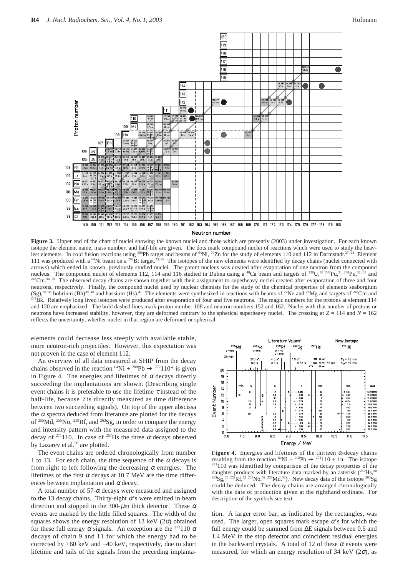

Figure 3. Upper end of the chart of nuclei showing the known nuclei and those which are presently (2003) under investigation. For each known isotope the element name, mass number, and half-life are given. The dots mark compound nuclei of reactions which were used to study the heaviest elements. In cold fusion reactions using <sup>208</sup>Pb target and beams of <sup>64</sup>Ni, <sup>70</sup>Zn for the study of elements 110 and 112 in Darmstadt.<sup>27, 28</sup> Element 111 was produced with a <sup>64</sup>Ni beam on a <sup>209</sup>Bi target.<sup>23, 29</sup> The isotopes of the new elements were identified by decay chains (nuclei connected with arrows) which ended in known, previously studied nuclei. The parent nucleus was created after evaporation of one neutron from the compound nucleus. The compound nuclei of elements 112, 114 and 116 studied in Dubna using a <sup>48</sup>Ca beam and targets of <sup>238</sup>U,<sup>30 242</sup>Pu,<sup>31</sup> <sup>244</sup>Pu,<sup>31</sup> <sup>23</sup><sub>33</sub> and <sup>248</sup>Cm.<sup>34, 35</sup> The observed decay chains are shown together with their assignment to superheavy nuclei created after evaporation of three and four neutrons, respectively. Finally, the compound nuclei used by nuclear chemists for the study of the chemical properties of elements seaborgium  $(Sg)^{36-38}$  bohrium (Bh)<sup>39, 40</sup> and hassium (Hs).<sup>41</sup> The elements were synthesized in reactions with beams of <sup>22</sup>Ne and <sup>26</sup>Mg and targets of <sup>248</sup>Cm and <sup>249</sup>Bk. Relatively long lived isotopes were produced after evaporation of four and five neutrons. The magic numbers for the protons at element 114 and 120 are emphasized. The bold dashed lines mark proton number 108 and neutron numbers 152 and 162. Nuclei with that number of protons or neutrons have increased stability, however, they are deformed contrary to the spherical superheavy nuclei. The crossing at *Z* = 114 and *N* = 162 reflects the uncertainty, whether nuclei in that region are deformed or spherical.

elements could decrease less steeply with available stable, more neutron-rich projectiles. However, this expectation was not proven in the case of element 112.

An overview of all data measured at SHIP from the decay chains observed in the reaction  ${}^{64}\text{Ni} + {}^{208}\text{Pb} \rightarrow {}^{272}110^*$  is given in Figure 4. The energies and lifetimes of  $\alpha$  decays directly succeeding the implantations are shown. (Describing single event chains it is preferable to use the lifetime  $\tau$  instead of the half-life, because  $\tau$  is directly measured as time difference between two succeeding signals). On top of the upper abscissa the  $\alpha$  spectra deduced from literature are plotted for the decays of 255Md, 255No, 259Rf, and 263Sg, in order to compare the energy and intensity pattern with the measured data assigned to the decay of <sup>271</sup>110. In case of <sup>267</sup>Hs the three  $\alpha$  decays observed by Lazarev et al.<sup>50</sup> are plotted.

The event chains are ordered chronologically from number 1 to 13. For each chain, the time sequence of the  $\alpha$  decays is from right to left following the decreasing  $\alpha$  energies. The lifetimes of the first  $\alpha$  decays at 10.7 MeV are the time differences between implantation and  $\alpha$  decay.

A total number of 57- $\alpha$  decays were measured and assigned to the 13 decay chains. Thirty-eight  $\alpha$ 's were emitted in beam direction and stopped in the 300- $\mu$ m thick detector. These  $\alpha$ events are marked by the little filled squares. The width of the squares shows the energy resolution of 13 keV ( $2\sigma$ ) obtained for these full energy  $\alpha$  signals. An exception are the <sup>271</sup>110  $\alpha$ decays of chain 9 and 11 for which the energy had to be corrected by +60 keV and −40 keV, respectively, due to short lifetime and tails of the signals from the preceding implanta-



**Figure 4.** Energies and lifetimes of the thirteen  $\alpha$ -decay chains resulting from the reaction  ${}^{64}\text{Ni} + {}^{208}\text{Pb} \rightarrow {}^{271}110 + 1$ n. The isotope  $^{271}110$  was identified by comparison of the decay properties of the daughter products with literature data marked by an asterisk  $(^{267}$ Hs,  $^{50}$  $^{263}$ Sg,<sup>51 259</sup>Rf,<sup>52 255</sup>No,<sup>52 255</sup>Md.<sup>52</sup>). New decay data of the isotope <sup>263</sup>Sg could be deduced. The decay chains are arranged chronologically with the date of production given at the righthand ordinate. For description of the symbols see text.

tion. A larger error bar, as indicated by the rectangles, was used. The larger, open squares mark escape  $\alpha$ 's for which the full energy could be summed from ∆E signals between 0.6 and 1.4 MeV in the stop detector and coincident residual energies in the backward crystals. A total of 12 of these  $\alpha$  events were measured, for which an energy resolution of 34 keV ( $2\sigma$ ), as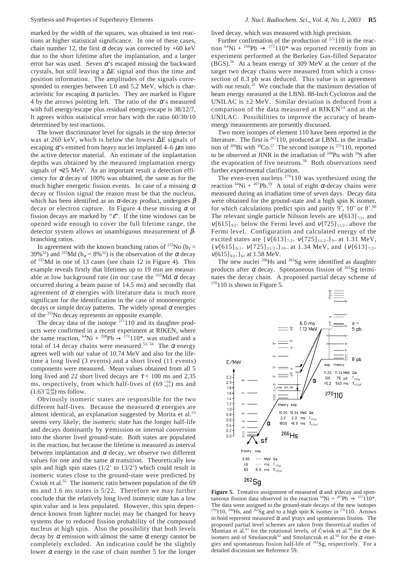marked by the width of the squares, was obtained in test reactions at higher statistical significance. In one of these cases, chain number 12, the first  $\alpha$  decay was corrected by +60 keV due to the short lifetime after the implantation, and a larger error bar was used. Seven  $\alpha$ 's escaped missing the backward crystals, but still leaving a ∆E signal and thus the time and position information. The amplitudes of the signals corresponded to energies between 1.0 and 5.2 MeV, which is characteristic for escaping  $\alpha$  particles. They are marked in Figure 4 by the arrows pointing left. The ratio of the  $\alpha$ 's measured with full energy/escape plus residual energy/escape is 38/12/7. It agrees within statistical error bars with the ratio 60/30/10 determined by test reactions.

The lower discriminator level for signals in the stop detector was at 260 keV, which is below the lowest ∆E signals of escaping  $\alpha$ 's emitted from heavy nuclei implanted 4–6  $\mu$ m into the active detector material. An estimate of the implantation depths was obtained by the measured implantation energy signals of  $\approx$ 25 MeV. As an important result a detection efficiency for  $\alpha$  decay of 100% was obtained, the same as for the much higher energetic fission events. In case of a missing  $\alpha$ decay or fission signal the reason must be that the nucleus, which has been identified as an  $\alpha$ -decay product, undergoes  $\beta$ decay or electron capture. In Figure 4 these missing  $\alpha$  or fission decays are marked by " $\varepsilon$ ". If the time windows can be opened wide enough to cover the full lifetime range, the detector system allows an unambiguous measurement of βbranching ratios.

In agreement with the known branching ratios of <sup>255</sup>No ( $b_{\varepsilon}$  = 39%<sup>52</sup>) and <sup>255</sup>Md ( $b_{\alpha}$  = 8%<sup>52</sup>) is the observation of the  $\alpha$  decay of 255Md in one of 13 cases (see chain 12 in Figure 4). This example reveals firstly that lifetimes up to 19 min are measurable at low background rate (in our case the <sup>255</sup>Md  $\alpha$  decay occurred during a beam pause of 14.5 ms) and secondly that agreement of  $\alpha$  energies with literature data is much more significant for the identification in the case of monoenergetic decays or simple decay patterns. The widely spread  $\alpha$  energies of the 255No decay represents an opposite example.

The decay data of the isotope <sup>271</sup>110 and its daughter products were confirmed in a recent experiment at RIKEN, where the same reaction,  ${}^{64}\text{Ni} + {}^{208}\text{Pb} \rightarrow {}^{272}110^*$ , was studied and a total of 14 decay chains were measured.<sup>53, 54</sup> The  $\alpha$  energy agrees well with our value of 10.74 MeV and also for the lifetime a long lived (3 events) and a short lived (11 events) components were measured. Mean values obtained from all 5 long lived and 22 short lived decays are  $\tau = 100$  ms and 2.35 ms, respectively, from which half-lives of  $(69<sup>+56</sup><sub>-21</sub>)$  ms and  $(1.63_{-0.28}^{+0.44})$  ms follow.

Obviously isomeric states are responsible for the two different half-lives. Because the measured  $\alpha$  energies are almost identical, an explanation suggested by Morita et al.<sup>53</sup> seems very likely; the isomeric state has the longer half-life and decays dominantly by γ emission or internal conversion into the shorter lived ground-state. Both states are populated in the reaction, but because the lifetime is measured as interval between implantation and  $\alpha$  decay, we observe two different values for one and the same  $\alpha$  transition. Theoretically low spin and high spin states  $(1/2^+$  to  $13/2^-$ ) which could result in isomeric states close to the ground-state were predicted by Ćwiok et al.<sup>55</sup> The isomeric ratio between population of the 69 ms and 1.6 ms states is 5/22. Therefore we may further conclude that the relatively long lived isomeric state has a low spin value and is less populated. However, this spin dependence known from lighter nuclei may be changed for heavy systems due to reduced fission probability of the compound nucleus at high spin. Also the possibility that both levels decay by  $\alpha$  emission with almost the same  $\alpha$  energy cannot be completely excluded. An indication could be the slightly lower  $α$  energy in the case of chain number 5 for the longer

lived decay, which was measured with high precision.

Further confirmation of the production of  $271110$  in the reaction  ${}^{64}\text{Ni} + {}^{208}\text{Pb} \rightarrow {}^{272}110*$  was reported recently from an experiment performed at the Berkeley Gas-filled Separator (BGS).56 At a beam energy of 309 MeV at the center of the target two decay chains were measured from which a crosssection of 8.3 pb was deduced. This value is in agreement with our result. $25$  We conclude that the maximum deviation of beam energy measured at the LBNL 88-Inch Cyclotron and the UNILAC is  $\pm 2$  MeV. Similar deviation is deduced from a comparison of the data measured at  $RIKEN<sup>54</sup>$  and at the UNILAC. Possibilities to improve the accuracy of beamenergy measurements are presently discussed.

Two more isotopes of element 110 have been reported in the literature. The first is  $267110$ , produced at LBNL in the irradiation of  $209$ Bi with  $59$ Co.<sup>57</sup> The second isotope is  $273110$ , reported to be observed at JINR in the irradiation of  $244$ Pu with  $34S$  after the evaporation of five neutrons.<sup>58</sup> Both observations need further experimental clarification.

The even-even nucleus  $270110$  was synthesized using the reaction <sup>64</sup>Ni + <sup>207</sup>Pb.<sup>59</sup> A total of eight α-decay chains were measured during an irradiation time of seven days. Decay data were obtained for the ground-state and a high spin K isomer, for which calculations predict spin and parity  $9^{\degree}$ ,  $10^{\degree}$  or  $8^{\degree}$ .<sup>60</sup> The relevant single particle Nilsson levels are  $v[613]_{7/2+}$  and  $v[615]_{9/2+}$  below the Fermi level and  $v[725]_{11/2-}$  above the Fermi level. Configuration and calculated energy of the excited states are  $\{v[613]_{7/2+} v[725]_{11/2-}\}_{9-}$  at 1.31 MeV,  $\{v[615]_{9/2+} v[725]_{11/2-}\}_{10-}$  at 1.34 MeV, and  $\{v[613]_{7/2+}\}$  $v[615]_{9/2+}$ <sub>8+</sub> at 1.58 MeV.

The new nuclei <sup>266</sup>Hs and <sup>262</sup>Sg were identified as daughter products after  $\alpha$  decay. Spontaneous fission of <sup>262</sup>Sg terminates the decay chain. A proposed partial decay scheme of  $270110$  is shown in Figure 5.



**Figure 5.** Tentative assignment of measured  $\alpha$  and  $\gamma$  decay and spontaneous fission data observed in the reaction  ${}^{64}\text{Ni} + {}^{207}\text{Pb} \rightarrow {}^{271}110*$ . The data were assigned to the ground-state decays of the new isotopes <sup>270</sup>110, <sup>266</sup>Hs, and <sup>262</sup>Sg and to a high spin K isomer in <sup>270</sup>110. Arrows in bold represent measured  $\alpha$  and  $\gamma$  rays and spontaneous fission. The proposed partial level schemes are taken from theoretical studies of Muntian et al.<sup>61</sup> for the rotational levels, of Ćwiok et al.<sup>60</sup> for the K isomers and of Smolanczuk<sup>62</sup> and Smolanczuk et al.<sup>63</sup> for the  $\alpha$  energies and spontaneous fission half-life of <sup>262</sup>Sg, respectively. For a detailed discussion see Reference 59.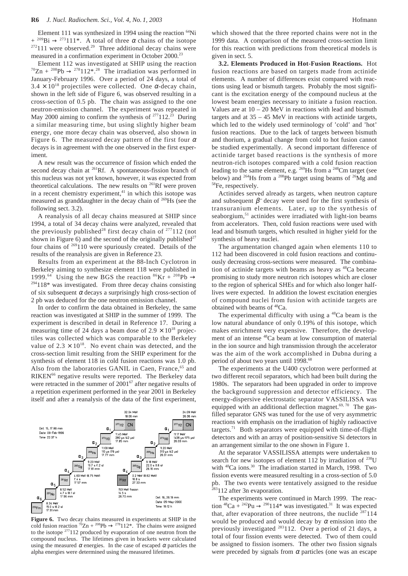Element 111 was synthesized in 1994 using the reaction 64Ni  $+{}^{209}Bi \rightarrow {}^{273}111*$ . A total of three  $\alpha$  chains of the isotope  $272111$  were observed.<sup>29</sup> Three additional decay chains were measured in a confirmation experiment in October 2000.<sup>23</sup>

Element 112 was investigated at SHIP using the reaction  ${}^{70}Zn + {}^{208}Pb \rightarrow {}^{278}112*.$ <sup>28</sup> The irradiation was performed in January-February 1996. Over a period of 24 days, a total of  $3.4 \times 10^{18}$  projectiles were collected. One  $\alpha$ -decay chain, shown in the left side of Figure 6, was observed resulting in a cross-section of 0.5 pb. The chain was assigned to the one neutron-emission channel. The experiment was repeated in May 2000 aiming to confirm the synthesis of  $277112$ , 23 During a similar measuring time, but using slightly higher beam energy, one more decay chain was observed, also shown in Figure 6. The measured decay pattern of the first four  $\alpha$ decays is in agreement with the one observed in the first experiment.

A new result was the occurrence of fission which ended the second decay chain at  $^{261}$ Rf. A spontaneous-fission branch of this nucleus was not yet known, however, it was expected from theoretical calculations. The new results on  $^{261}$ Rf were proven in a recent chemistry experiment, $41$  in which this isotope was measured as granddaughter in the decay chain of  $^{269}$ Hs (see the following sect. 3.2).

A reanalysis of all decay chains measured at SHIP since 1994, a total of 34 decay chains were analyzed, revealed that the previously published<sup>28</sup> first decay chain of  $277112$  (not shown in Figure 6) and the second of the originally published $27$ four chains of <sup>269</sup>110 were spuriously created. Details of the results of the reanalysis are given in Reference 23.

Results from an experiment at the 88-Inch Cyclotron in Berkeley aiming to synthesize element 118 were published in 1999.<sup>64</sup> Using the new BGS the reaction  ${}^{86}\text{Kr} + {}^{208}\text{Pb} \rightarrow$ 294118\* was investigated. From three decay chains consisting of six subsequent  $\alpha$  decays a surprisingly high cross-section of 2 pb was deduced for the one neutron emission channel.

In order to confirm the data obtained in Berkeley, the same reaction was investigated at SHIP in the summer of 1999. The experiment is described in detail in Reference 17. During a measuring time of 24 days a beam dose of  $2.9 \times 10^{18}$  projectiles was collected which was comparable to the Berkeley value of  $2.3 \times 10^{18}$ . No event chain was detected, and the cross-section limit resulting from the SHIP experiment for the synthesis of element 118 in cold fusion reactions was 1.0 pb. Also from the laboratories GANIL in Caen, France, 65 and RIKEN<sup>66</sup> negative results were reported. The Berkeley data were retracted in the summer of  $2001^{67}$  after negative results of a repetition experiment performed in the year 2001 in Berkeley itself and after a reanalysis of the data of the first experiment,



**Figure 6.** Two decay chains measured in experiments at SHIP in the cold fusion reaction  ${}^{70}Zn + {}^{208}Pb \rightarrow {}^{278}112*$ . The chains were assigned to the isotope <sup>277</sup>112 produced by evaporation of one neutron from the compound nucleus. The lifetimes given in brackets were calculated using the measured  $\alpha$  energies. In the case of escaped  $\alpha$  particles the alpha energies were determined using the measured lifetimes.

which showed that the three reported chains were not in the 1999 data. A comparison of the measured cross-section limit for this reaction with predictions from theoretical models is given in sect. 5.

**3.2. Elements Produced in Hot-Fusion Reactions.** Hot fusion reactions are based on targets made from actinide elements. A number of differences exist compared with reactions using lead or bismuth targets. Probably the most significant is the excitation energy of the compound nucleus at the lowest beam energies necessary to initiate a fusion reaction. Values are at  $10 - 20$  MeV in reactions with lead and bismuth targets and at  $35 - 45$  MeV in reactions with actinide targets, which led to the widely used terminology of 'cold' and 'hot' fusion reactions. Due to the lack of targets between bismuth and thorium, a gradual change from cold to hot fusion cannot be studied experimentally. A second important difference of actinide target based reactions is the synthesis of more neutron-rich isotopes compared with a cold fusion reaction leading to the same element, e.g.  $^{269}$ Hs from a  $^{248}$ Cm target (see below) and  $^{264}$ Hs from a  $^{208}$ Pb target using beams of  $^{26}$ Mg and <sup>58</sup>Fe, respectively.

Actinides served already as targets, when neutron capture and subsequent  $\beta^-$  decay were used for the first synthesis of transuranium elements. Later, up to the synthesis of seaborgium,<sup>51</sup> actinides were irradiated with light-ion beams from accelerators. Then, cold fusion reactions were used with lead and bismuth targets, which resulted in higher yield for the synthesis of heavy nuclei.

The argumentation changed again when elements 110 to 112 had been discovered in cold fusion reactions and continuously decreasing cross-sections were measured. The combination of actinide targets with beams as heavy as  $48Ca$  became promising to study more neutron rich isotopes which are closer to the region of spherical SHEs and for which also longer halflives were expected. In addition the lowest excitation energies of compound nuclei from fusion with actinide targets are obtained with beams of <sup>48</sup>Ca.

The experimental difficulty with using a  $48$ Ca beam is the low natural abundance of only 0.19% of this isotope, which makes enrichment very expensive. Therefore, the development of an intense 48Ca beam at low consumption of material in the ion source and high transmission through the accelerator was the aim of the work accomplished in Dubna during a period of about two years until 1998.<sup>68</sup>

The experiments at the U400 cyclotron were performed at two different recoil separators, which had been built during the 1980s. The separators had been upgraded in order to improve the background suppression and detector efficiency. The energy-dispersive electrostatic separator VASSILISSA was equipped with an additional deflection magnet. $69, 70$  The gasfilled separator GNS was tuned for the use of very asymmetric reactions with emphasis on the irradiation of highly radioactive targets.71 Both separators were equipped with time-of-flight detectors and with an array of position-sensitive Si detectors in an arrangement similar to the one shown in Figure 1.

At the separator VASSILISSA attempts were undertaken to search for new isotopes of element 112 by irradiation of  $^{238}$ U with <sup>48</sup>Ca ions.<sup>30</sup> The irradiation started in March, 1998. Two fission events were measured resulting in a cross-section of 5.0 pb. The two events were tentatively assigned to the residue  $283112$  after 3n evaporation.

The experiments were continued in March 1999. The reaction  ${}^{48}Ca + {}^{242}Pu \rightarrow {}^{290}114*$  was investigated.<sup>31</sup> It was expected that, after evaporation of three neutrons, the nuclide  $287114$ would be produced and would decay by  $\alpha$  emission into the previously investigated 283112. Over a period of 21 days, a total of four fission events were detected. Two of them could be assigned to fission isomers. The other two fission signals were preceded by signals from  $\alpha$  particles (one was an escape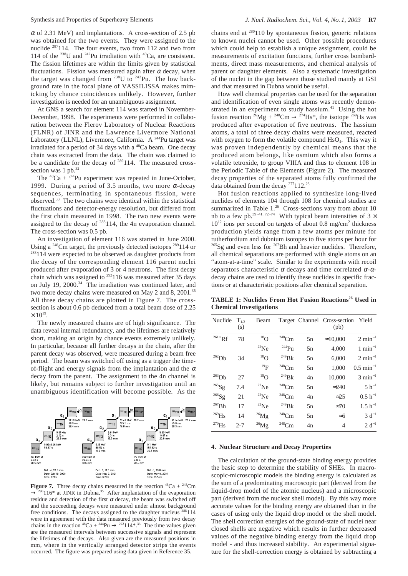$\alpha$  of 2.31 MeV) and implantations. A cross-section of 2.5 pb was obtained for the two events. They were assigned to the nuclide 287114. The four events, two from 112 and two from 114 of the  $^{238}$ U and  $^{242}$ Pu irradiation with  $^{48}$ Ca, are consistent. The fission lifetimes are within the limits given by statistical fluctuations. Fission was measured again after  $\alpha$  decay, when the target was changed from  $^{238}$ U to  $^{242}$ Pu. The low background rate in the focal plane of VASSILISSA makes mimicking by chance coincidences unlikely. However, further investigation is needed for an unambiguous assignment.

At GNS a search for element 114 was started in November-December, 1998. The experiments were performed in collaboration between the Flerov Laboratory of Nuclear Reactions (FLNR) of JINR and the Lawrence Livermore National Laboratory (LLNL), Livermore, California. A  $^{244}$ Pu target was irradiated for a period of 34 days with a <sup>48</sup>Ca beam. One decay chain was extracted from the data. The chain was claimed to be a candidate for the decay of <sup>289</sup>114. The measured crosssection was  $1$  pb.<sup>32</sup>

The  ${}^{48}Ca + {}^{244}Pu$  experiment was repeated in June-October, 1999. During a period of 3.5 months, two more  $α$ -decay sequences, terminating in spontaneous fission, were observed.33 The two chains were identical within the statistical fluctuations and detector-energy resolution, but differed from the first chain measured in 1998. The two new events were assigned to the decay of 288114, the 4n evaporation channel. The cross-section was 0.5 pb.

An investigation of element 116 was started in June 2000. Using a 248Cm target, the previously detected isotopes 289114 or <sup>288</sup>114 were expected to be observed as daughter products from the decay of the corresponding element 116 parent nuclei produced after evaporation of 3 or 4 neutrons. The first decay chain which was assigned to  $292116$  was measured after 35 days on July 19, 2000.<sup>34</sup> The irradiation was continued later, and two more decay chains were measured on May 2 and 8, 2001.<sup>35</sup> All three decay chains are plotted in Figure 7. The crosssection is about 0.6 pb deduced from a total beam dose of 2.25  $\times 10^{19}$ .

The newly measured chains are of high significance. The data reveal internal redundancy, and the lifetimes are relatively short, making an origin by chance events extremely unlikely. In particular, because all further decays in the chain, after the parent decay was observed, were measured during a beam free period. The beam was switched off using as a trigger the timeof-flight and energy signals from the implantation and the  $\alpha$ decay from the parent. The assignment to the 4n channel is likely, but remains subject to further investigation until an unambiguous identification will become possible. As the



**Figure 7.** Three decay chains measured in the reaction  $^{48}Ca + ^{248}Cm$  $\rightarrow$  <sup>296</sup>116\* at JINR in Dubna.<sup>35</sup> After implantation of the evaporation residue and detection of the first  $\alpha$  decay, the beam was switched off and the succeeding decays were measured under almost background free conditions. The decays assigned to the daughter nucleus <sup>288</sup>114 were in agreement with the data measured previously from two decay chains in the reaction <sup>48</sup>Ca + <sup>244</sup>Pu  $\rightarrow$  <sup>292</sup>114<sup>\*</sup>.<sup>33</sup> The time values given are the measured intervals between successive signals and represent the lifetimes of the decays. Also given are the measured positions in mm, where in the vertically arranged detector strips the events occurred. The figure was prepared using data given in Reference 35.

chains end at 280110 by spontaneous fission, generic relations to known nuclei cannot be used. Other possible procedures which could help to establish a unique assignment, could be measurements of excitation functions, further cross bombardments, direct mass measurements, and chemical analysis of parent or daughter elements. Also a systematic investigation of the nuclei in the gap between those studied mainly at GSI and that measured in Dubna would be useful.

How well chemical properties can be used for the separation and identification of even single atoms was recently demonstrated in an experiment to study hassium.<sup>41</sup> Using the hot fusion reaction <sup>26</sup>Mg + <sup>248</sup>Cm  $\rightarrow$  <sup>274</sup>Hs<sup>\*</sup>, the isotope <sup>269</sup>Hs was produced after evaporation of five neutrons. The hassium atoms, a total of three decay chains were measured, reacted with oxygen to form the volatile compound  $HsO<sub>4</sub>$ . This way it was proven independently by chemical means that the produced atom belongs, like osmium which also forms a volatile tetroxide, to group VIIIA and thus to element 108 in the Periodic Table of the Elements (Figure 2). The measured decay properties of the separated atoms fully confirmed the data obtained from the decay <sup>277</sup>112.<sup>23</sup>

Hot fusion reactions applied to synthesize long-lived nuclides of elements 104 through 108 for chemical studies are summarized in Table  $1.^{26}$  Cross-sections vary from about 10 nb to a few pb.<sup>39–41, 72–74</sup> With typical beam intensities of 3  $\times$  $10^{12}$  ions per second on targets of about 0.8 mg/cm<sup>2</sup> thickness production yields range from a few atoms per minute for rutherfordium and dubnium isotopes to five atoms per hour for  $^{265}$ Sg and even less for  $^{267}$ Bh and heavier nuclides. Therefore, all chemical separations are performed with single atoms on an "atom-at-a-time" scale. Similar to the experiments with recoil separators characteristic  $\alpha$  decays and time correlated  $\alpha$ - $\alpha$ decay chains are used to identify these nuclides in specific fractions or at characteristic positions after chemical separation.

TABLE 1: Nuclides From Hot Fusion Reactions<sup>26</sup> Used in **Chemical Investigations**

| Nuclide             | $T_{1/2}$<br>(s) | Beam            |                     |    | Target Channel Cross-section<br>(pb) | Yield                  |
|---------------------|------------------|-----------------|---------------------|----|--------------------------------------|------------------------|
| $261m$ Rf           | 78               | 18 <sub>O</sub> | $^{248}\mathrm{Cm}$ | 5n | $\approx 10,000$                     | $2 \text{ min}^{-1}$   |
|                     |                  | $^{22}$ Ne $\,$ | $^{244}\mathrm{Pu}$ | 5n | 4.000                                | $1$ min <sup>-1</sup>  |
| $\rm ^{262}Db$      | 34               | 18 <sub>O</sub> | $^{249}$ B $\!$     | 5n | 6.000                                | $2 \text{ min}^{-1}$   |
|                     |                  | $^{19}F$        | $\mathrm{^{248}Cm}$ | 5n | 1,000                                | $0.5 \text{ min}^{-1}$ |
| $^{263}\mathrm{Db}$ | 27               | $^{18}$ O       | $^{249}\mathrm{Bk}$ | 4n | 10,000                               | $3 \text{ min}^{-1}$   |
| $^{265}\mathrm{Sg}$ | 7.4              | $^{22}Ne$       | $\mathrm{^{248}Cm}$ | 5n | $\approx$ 240                        | $5 h^{-1}$             |
| $266$ Sg            | 21               | $^{22}Ne$       | $^{248}\mathrm{Cm}$ | 4n | $\approx 25$                         | $0.5 h^{-1}$           |
| $^{267}\mbox{Bh}$   | 17               | $^{22}Ne$       | $^{249}\rm{Bk}$     | 5n | $\approx 70$                         | $1.5 h^{-1}$           |
| $^{269}\mathrm{Hs}$ | 14               | $^{26}Mg$       | $\mathrm{^{248}Cm}$ | 5n | $\approx 6$                          | $3 d^{-1}$             |
| $^{270}\mathrm{Hs}$ | $2 - 7$          | $^{26}Mg$       | $\mathrm{^{248}Cm}$ | 4n | $\overline{4}$                       | $2 d^{-1}$             |

#### **4. Nuclear Structure and Decay Properties**

The calculation of the ground-state binding energy provides the basic step to determine the stability of SHEs. In macroscopic-microscopic models the binding energy is calculated as the sum of a predominating macroscopic part (derived from the liquid-drop model of the atomic nucleus) and a microscopic part (derived from the nuclear shell model). By this way more accurate values for the binding energy are obtained than in the cases of using only the liquid drop model or the shell model. The shell correction energies of the ground-state of nuclei near closed shells are negative which results in further decreased values of the negative binding energy from the liquid drop model - and thus increased stability. An experimental signature for the shell-correction energy is obtained by subtracting a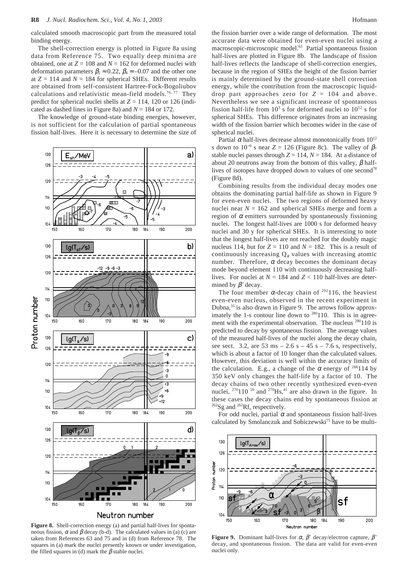calculated smooth macroscopic part from the measured total binding energy.

The shell-correction energy is plotted in Figure 8a using data from Reference 75. Two equally deep minima are obtained, one at  $Z = 108$  and  $N = 162$  for deformed nuclei with deformation parameters  $\beta_2 \approx 0.22$ ,  $\beta_4 \approx -0.07$  and the other one at  $Z = 114$  and  $N = 184$  for spherical SHEs. Different results are obtained from self-consistent Hartree-Fock-Bogoliubov calculations and relativistic mean-field models.<sup>76, 77</sup> They predict for spherical nuclei shells at  $Z = 114$ , 120 or 126 (indicated as dashed lines in Figure 8a) and  $N = 184$  or 172.

The knowledge of ground-state binding energies, however, is not sufficient for the calculation of partial spontaneous fission half-lives. Here it is necessary to determine the size of



**Figure 8.** Shell-correction energy (a) and partial half-lives for spontaneous fission,  $\alpha$  and  $\beta$  decay (b-d). The calculated values in (a) (c) are taken from References 63 and 75 and in (d) from Reference 78. The squares in (a) mark the nuclei presently known or under investigation, the filled squares in (d) mark the  $\beta$  stable nuclei.

the fission barrier over a wide range of deformation. The most accurate data were obtained for even-even nuclei using a macroscopic-microscopic model.63 Partial spontaneous fission half-lives are plotted in Figure 8b. The landscape of fission half-lives reflects the landscape of shell-correction energies, because in the region of SHEs the height of the fission barrier is mainly determined by the ground-state shell correction energy, while the contribution from the macroscopic liquiddrop part approaches zero for  $Z = 104$  and above. Nevertheless we see a significant increase of spontaneous fission half-life from  $10^3$  s for deformed nuclei to  $10^{12}$  s for spherical SHEs. This difference originates from an increasing width of the fission barrier which becomes wider in the case of spherical nuclei.

Partial  $\alpha$  half-lives decrease almost monotonically from  $10^{12}$ s down to  $10^{-9}$  s near  $Z = 126$  (Figure 8c). The valley of  $\beta$ stable nuclei passes through  $Z = 114$ ,  $N = 184$ . At a distance of about 20 neutrons away from the bottom of this valley,  $\beta$  halflives of isotopes have dropped down to values of one second<sup>78</sup> (Figure 8d).

Combining results from the individual decay modes one obtains the dominating partial half-life as shown in Figure 9 for even-even nuclei. The two regions of deformed heavy nuclei near  $N = 162$  and spherical SHEs merge and form a region of  $\alpha$  emitters surrounded by spontaneously fissioning nuclei. The longest half-lives are 1000 s for deformed heavy nuclei and 30 y for spherical SHEs. It is interesting to note that the longest half-lives are not reached for the doubly magic nucleus 114, but for  $Z = 110$  and  $N = 182$ . This is a result of continuously increasing  $Q_{\alpha}$  values with increasing atomic number. Therefore,  $\alpha$  decay becomes the dominant decay mode beyond element 110 with continuously decreasing halflives. For nuclei at  $N = 184$  and  $Z < 110$  half-lives are determined by  $\beta^-$  decay.

The four member  $\alpha$ -decay chain of <sup>292</sup>116, the heaviest even-even nucleus, observed in the recent experiment in Dubna, $35$  is also drawn in Figure 9. The arrows follow approximately the 1-s contour line down to  $280110$ . This is in agreement with the experimental observation. The nucleus  $280110$  is predicted to decay by spontaneous fission. The average values of the measured half-lives of the nuclei along the decay chain, see sect. 3.2, are  $53 \text{ ms} - 2.6 \text{ s} - 45 \text{ s} - 7.6 \text{ s}$ , respectively, which is about a factor of 10 longer than the calculated values. However, this deviation is well within the accuracy limits of the calculation. E.g., a change of the  $\alpha$  energy of <sup>288</sup>114 by 350 keV only changes the half-life by a factor of 10. The decay chains of two other recently synthesized even-even nuclei,  $270110$ <sup>59</sup> and  $270$ Hs,<sup>41</sup> are also drawn in the figure. In these cases the decay chains end by spontaneous fission at  $262$ Sg and  $262$ Rf, respectively.

For odd nuclei, partial  $\alpha$  and spontaneous fission half-lives calculated by Smolanczuk and Sobiczewski<sup>75</sup> have to be multi-



**Figure 9.** Dominant half-lives for  $\alpha$ ,  $\beta$ <sup>+</sup> decay/electron capture,  $\beta$ <sup>-</sup> decay, and spontaneous fission. The data are valid for even-even nuclei only.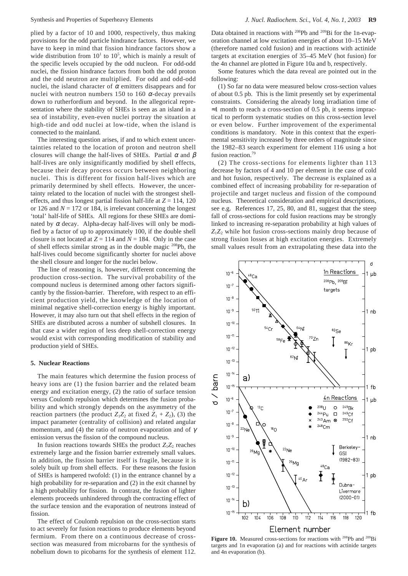plied by a factor of 10 and 1000, respectively, thus making provisions for the odd particle hindrance factors. However, we have to keep in mind that fission hindrance factors show a wide distribution from  $10<sup>1</sup>$  to  $10<sup>5</sup>$ , which is mainly a result of the specific levels occupied by the odd nucleon. For odd-odd nuclei, the fission hindrance factors from both the odd proton and the odd neutron are multiplied. For odd and odd-odd nuclei, the island character of  $\alpha$  emitters disappears and for nuclei with neutron numbers 150 to 160  $\alpha$ -decay prevails down to rutherfordium and beyond. In the allegorical representation where the stability of SHEs is seen as an island in a sea of instability, even-even nuclei portray the situation at high-tide and odd nuclei at low-tide, when the island is connected to the mainland.

The interesting question arises, if and to which extent uncertainties related to the location of proton and neutron shell closures will change the half-lives of SHEs. Partial  $\alpha$  and  $\beta$ half-lives are only insignificantly modified by shell effects, because their decay process occurs between neighboring nuclei. This is different for fission half-lives which are primarily determined by shell effects. However, the uncertainty related to the location of nuclei with the strongest shelleffects, and thus longest partial fission half-life at  $Z = 114$ , 120 or 126 and  $N = 172$  or 184, is irrelevant concerning the longest 'total' half-life of SHEs. All regions for these SHEs are dominated by  $\alpha$  decay. Alpha-decay half-lives will only be modified by a factor of up to approximately 100, if the double shell closure is not located at  $Z = 114$  and  $N = 184$ . Only in the case of shell effects similar strong as in the double magic 208Pb, the half-lives could become significantly shorter for nuclei above the shell closure and longer for the nuclei below.

The line of reasoning is, however, different concerning the production cross-section. The survival probability of the compound nucleus is determined among other factors significantly by the fission-barrier. Therefore, with respect to an efficient production yield, the knowledge of the location of minimal negative shell-correction energy is highly important. However, it may also turn out that shell effects in the region of SHEs are distributed across a number of subshell closures. In that case a wider region of less deep shell-correction energy would exist with corresponding modification of stability and production yield of SHEs.

### **5. Nuclear Reactions**

The main features which determine the fusion process of heavy ions are (1) the fusion barrier and the related beam energy and excitation energy, (2) the ratio of surface tension versus Coulomb repulsion which determines the fusion probability and which strongly depends on the asymmetry of the reaction partners (the product  $Z_1Z_2$  at fixed  $Z_1 + Z_2$ ), (3) the impact parameter (centrality of collision) and related angular momentum, and (4) the ratio of neutron evaporation and of  $\gamma$ emission versus the fission of the compound nucleus.

In fusion reactions towards SHEs the product  $Z_1Z_2$  reaches extremely large and the fission barrier extremely small values. In addition, the fission barrier itself is fragile, because it is solely built up from shell effects. For these reasons the fusion of SHEs is hampered twofold: (1) in the entrance channel by a high probability for re-separation and (2) in the exit channel by a high probability for fission. In contrast, the fusion of lighter elements proceeds unhindered through the contracting effect of the surface tension and the evaporation of neutrons instead of fission.

The effect of Coulomb repulsion on the cross-section starts to act severely for fusion reactions to produce elements beyond fermium. From there on a continuous decrease of crosssection was measured from microbarns for the synthesis of nobelium down to picobarns for the synthesis of element 112.

Data obtained in reactions with 208Pb and 209Bi for the 1n-evaporation channel at low excitation energies of about 10–15 MeV (therefore named cold fusion) and in reactions with actinide targets at excitation energies of 35–45 MeV (hot fusion) for the 4n channel are plotted in Figure 10a and b, respectively.

Some features which the data reveal are pointed out in the following:

(1) So far no data were measured below cross-section values of about 0.5 pb. This is the limit presently set by experimental constraints. Considering the already long irradiation time of  $\approx$ 1 month to reach a cross-section of 0.5 pb, it seems impractical to perform systematic studies on this cross-section level or even below. Further improvement of the experimental conditions is mandatory. Note in this context that the experimental sensitivity increased by three orders of magnitude since the 1982–83 search experiment for element 116 using a hot fusion reaction.<sup>79</sup>

(2) The cross-sections for elements lighter than 113 decrease by factors of 4 and 10 per element in the case of cold and hot fusion, respectively. The decrease is explained as a combined effect of increasing probability for re-separation of projectile and target nucleus and fission of the compound nucleus. Theoretical consideration and empirical descriptions, see e.g. References 17, 25, 80, and 81, suggest that the steep fall of cross-sections for cold fusion reactions may be strongly linked to increasing re-separation probability at high values of *Z*1*Z*<sup>2</sup> while hot fusion cross-sections mainly drop because of strong fission losses at high excitation energies. Extremely small values result from an extrapolating these data into the



Figure 10. Measured cross-sections for reactions with <sup>208</sup>Pb and <sup>209</sup>Bi targets and 1n evaporation (a) and for reactions with actinide targets and 4n evaporation (b).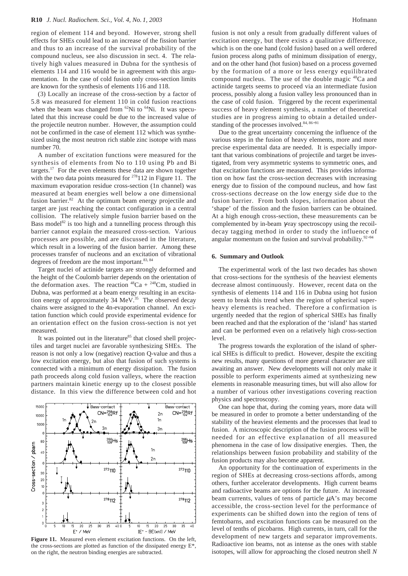region of element 114 and beyond. However, strong shell effects for SHEs could lead to an increase of the fission barrier and thus to an increase of the survival probability of the compound nucleus, see also discussion in sect. 4. The relatively high values measured in Dubna for the synthesis of elements 114 and 116 would be in agreement with this argumentation. In the case of cold fusion only cross-section limits are known for the synthesis of elements 116 and 118.

(3) Locally an increase of the cross-section by a factor of 5.8 was measured for element 110 in cold fusion reactions when the beam was changed from  $^{62}$ Ni to  $^{64}$ Ni. It was speculated that this increase could be due to the increased value of the projectile neutron number. However, the assumption could not be confirmed in the case of element 112 which was synthesized using the most neutron rich stable zinc isotope with mass number 70.

A number of excitation functions were measured for the synthesis of elements from No to 110 using Pb and Bi targets. $17$  For the even elements these data are shown together with the two data points measured for  $278112$  in Figure 11. The maximum evaporation residue cross-section (1n channel) was measured at beam energies well below a one dimensional fusion barrier.<sup>82</sup> At the optimum beam energy projectile and target are just reaching the contact configuration in a central collision. The relatively simple fusion barrier based on the Bass model<sup>82</sup> is too high and a tunnelling process through this barrier cannot explain the measured cross-section. Various processes are possible, and are discussed in the literature, which result in a lowering of the fusion barrier. Among these processes transfer of nucleons and an excitation of vibrational degrees of freedom are the most important.<sup>83, 84</sup>

Target nuclei of actinide targets are strongly deformed and the height of the Coulomb barrier depends on the orientation of the deformation axes. The reaction  $^{48}Ca + {}^{248}Cm$ , studied in Dubna, was performed at a beam energy resulting in an excitation energy of approximately 34 MeV.<sup>35</sup> The observed decay chains were assigned to the 4n-evaporation channel. An excitation function which could provide experimental evidence for an orientation effect on the fusion cross-section is not yet measured.

It was pointed out in the literature<sup>85</sup> that closed shell projectiles and target nuclei are favorable synthesizing SHEs. The reason is not only a low (negative) reaction Q-value and thus a low excitation energy, but also that fusion of such systems is connected with a minimum of energy dissipation. The fusion path proceeds along cold fusion valleys, where the reaction partners maintain kinetic energy up to the closest possible distance. In this view the difference between cold and hot



**Figure 11.** Measured even element excitation functions. On the left, the cross-sections are plotted as function of the dissipated energy E\*, on the right, the neutron binding energies are subtracted.

fusion is not only a result from gradually different values of excitation energy, but there exists a qualitative difference, which is on the one hand (cold fusion) based on a well ordered fusion process along paths of minimum dissipation of energy, and on the other hand (hot fusion) based on a process governed by the formation of a more or less energy equilibrated compound nucleus. The use of the double magic 48Ca and actinide targets seems to proceed via an intermediate fusion process, possibly along a fusion valley less pronounced than in the case of cold fusion. Triggered by the recent experimental success of heavy element synthesis, a number of theoretical studies are in progress aiming to obtain a detailed understanding of the processes involved.<sup>84, 86−91</sup>

Due to the great uncertainty concerning the influence of the various steps in the fusion of heavy elements, more and more precise experimental data are needed. It is especially important that various combinations of projectile and target be investigated, from very asymmetric systems to symmetric ones, and that excitation functions are measured. This provides information on how fast the cross-section decreases with increasing energy due to fission of the compound nucleus, and how fast cross-sections decrease on the low energy side due to the fusion barrier. From both slopes, information about the 'shape' of the fission and the fusion barriers can be obtained. At a high enough cross-section, these measurements can be complemented by in-beam γ-ray spectroscopy using the recoildecay tagging method in order to study the influence of angular momentum on the fusion and survival probability.92−<sup>94</sup>

#### **6. Summary and Outlook**

The experimental work of the last two decades has shown that cross-sections for the synthesis of the heaviest elements decrease almost continuously. However, recent data on the synthesis of elements 114 and 116 in Dubna using hot fusion seem to break this trend when the region of spherical superheavy elements is reached. Therefore a confirmation is urgently needed that the region of spherical SHEs has finally been reached and that the exploration of the 'island' has started and can be performed even on a relatively high cross-section level.

The progress towards the exploration of the island of spherical SHEs is difficult to predict. However, despite the exciting new results, many questions of more general character are still awaiting an answer. New developments will not only make it possible to perform experiments aimed at synthesizing new elements in reasonable measuring times, but will also allow for a number of various other investigations covering reaction physics and spectroscopy.

One can hope that, during the coming years, more data will be measured in order to promote a better understanding of the stability of the heaviest elements and the processes that lead to fusion. A microscopic description of the fusion process will be needed for an effective explanation of all measured phenomena in the case of low dissipative energies. Then, the relationships between fusion probability and stability of the fusion products may also become apparent.

An opportunity for the continuation of experiments in the region of SHEs at decreasing cross-sections affords, among others, further accelerator developments. High current beams and radioactive beams are options for the future. At increased beam currents, values of tens of particle  $\mu$ A's may become accessible, the cross-section level for the performance of experiments can be shifted down into the region of tens of femtobarns, and excitation functions can be measured on the level of tenths of picobarns. High currents, in turn, call for the development of new targets and separator improvements. Radioactive ion beams, not as intense as the ones with stable isotopes, will allow for approaching the closed neutron shell *N*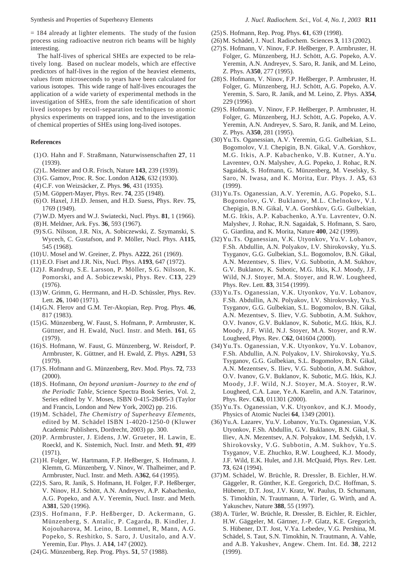Synthesis and Properties of Superheavy Elements *J. Nucl. Radiochem. Sci., Vol. 4, No. 1, 2003* **R11**

= 184 already at lighter elements. The study of the fusion process using radioactive neutron rich beams will be highly interesting.

The half-lives of spherical SHEs are expected to be relatively long. Based on nuclear models, which are effective predictors of half-lives in the region of the heaviest elements, values from microseconds to years have been calculated for various isotopes. This wide range of half-lives encourages the application of a wide variety of experimental methods in the investigation of SHEs, from the safe identification of short lived isotopes by recoil-separation techniques to atomic physics experiments on trapped ions, and to the investigation of chemical properties of SHEs using long-lived isotopes.

### **References**

- (1) O. Hahn and F. Straßmann, Naturwissenschaften **27**, 11 (1939).
- (2) L. Meitner and O.R. Frisch, Nature **143**, 239 (1939).
- (3) G. Gamov, Proc. R. Soc. London A**126**, 632 (1930).
- (4) C.F. von Weizsäcker, Z. Phys. **96**, 431 (1935).
- (5) M. Göppert-Mayer, Phys. Rev. **74**, 235 (1948).
- (6) O. Haxel, J.H.D. Jensen, and H.D. Suess, Phys. Rev. **75**, 1769 (1949).
- (7) W.D. Myers and W.J. Swiatecki, Nucl. Phys. **81**, 1 (1966).
- (8) H. Meldner, Ark. Fys. **36**, 593 (1967).
- (9) S.G. Nilsson, J.R. Nix, A. Sobiczewski, Z. Szymanski, S. Wycech, C. Gustafson, and P. Möller, Nucl. Phys. A**115**, 545 (1968).
- (10)U. Mosel and W. Greiner, Z. Phys. A**222**, 261 (1969).
- (11)E.O. Fiset and J.R. Nix, Nucl. Phys. A**193**, 647 (1972).
- (12)J. Randrup, S.E. Larsson, P. Möller, S.G. Nilsson, K. Pomorski, and A. Sobiczewski, Phys. Rev. C**13**, 229 (1976).
- (13)W. Grimm, G. Herrmann, and H.-D. Schüssler, Phys. Rev. Lett. **26**, 1040 (1971).
- (14)G.N. Flerov and G.M. Ter-Akopian, Rep. Prog. Phys. **46**, 817 (1983).
- (15)G. Münzenberg, W. Faust, S. Hofmann, P. Armbruster, K. Güttner, and H. Ewald, Nucl. Instr. and Meth. **161**, 65 (1979).
- (16)S. Hofmann, W. Faust, G. Münzenberg, W. Reisdorf, P. Armbruster, K. Güttner, and H. Ewald, Z. Phys. A**291**, 53 (1979).
- (17)S. Hofmann and G. Münzenberg, Rev. Mod. Phys. **72**, 733 (2000).
- (18)S. Hofmann, *On beyond uranium-Journey to the end of the Periodic Table*, Science Spectra Book Series, Vol. 2, Series edited by V. Moses, ISBN 0-415-28495-3 (Taylor and Francis, London and New York, 2002) pp. 216.
- (19)M. Schädel, *The Chemistry of Superheavy Elements*, edited by M. Schädel ISBN 1-4020-1250-0 (Kluwer Academic Publishers, Dordrecht, 2003) pp. 300.
- (20)P. Armbruster, J. Eidens, J.W. Grueter, H. Lawin, E. Roeckl, and K. Sistemich, Nucl. Instr. and Meth. **91**, 499 (1971).
- (21)H. Folger, W. Hartmann, F.P. Heßberger, S. Hofmann, J. Klemm, G. Münzenberg, V. Ninov, W. Thalheimer, and P. Armbruster, Nucl. Instr. and Meth. A**362**, 64 (1995).
- (22)S. Saro, R. Janik, S. Hofmann, H. Folger, F.P. Heßberger, V. Ninov, H.J. Schött, A.N. Andreyev, A.P. Kabachenko, A.G. Popeko, and A.V. Yeremin, Nucl. Instr. and Meth. A**381**, 520 (1996).
- (23)S. Hofmann, F.P. Heßberger, D. Ackermann, G. Münzenberg, S. Antalic, P. Cagarda, B. Kindler, J. Kojouharova, M. Leino, B. Lommel, R, Mann, A.G. Popeko, S. Reshitko, S. Saro, J. Uusitalo, and A.V. Yeremin, Eur. Phys. J. A**14**, 147 (2002).
- (24)G. Münzenberg, Rep. Prog. Phys. **51**, 57 (1988).
- (25)S. Hofmann, Rep. Prog. Phys. **61**, 639 (1998).
- (26)M. Schädel, J. Nucl. Radiochem. Sciences **3**, 113 (2002).
- (27)S. Hofmann, V. Ninov, F.P. Heßberger, P. Armbruster, H. Folger, G. Münzenberg, H.J. Schött, A.G. Popeko, A.V. Yeremin, A.N. Andreyev, S. Saro, R. Janik, and M. Leino, Z. Phys. A**350**, 277 (1995).
- (28)S. Hofmann, V. Ninov, F.P. Heßberger, P. Armbruster, H. Folger, G. Münzenberg, H.J. Schött, A.G. Popeko, A.V. Yeremin, S. Saro, R. Janik, and M. Leino, Z. Phys. A**354**, 229 (1996).
- (29)S. Hofmann, V. Ninov, F.P. Heßberger, P. Armbruster, H. Folger, G. Münzenberg, H.J. Schött, A.G. Popeko, A.V. Yeremin, A.N. Andreyev, S. Saro, R. Janik, and M. Leino, Z. Phys. A**350**, 281 (1995).
- (30)Yu.Ts. Oganessian, A.V. Yeremin, G.G. Gulbekian, S.L. Bogomolov, V.I. Chepigin, B.N. Gikal, V.A. Gorshkov, M.G. Itkis, A.P. Kabachenko, V.B. Kutner, A.Yu. Lavrentev, O.N. Malyshev, A.G. Popeko, J. Rohac, R.N. Sagaidak, S. Hofmann, G. Münzenberg, M. Veselsky, S. Saro, N. Iwasa, and K. Morita, Eur. Phys. J. A**5**, 63 (1999).
- (31)Yu.Ts. Oganessian, A.V. Yeremin, A.G. Popeko, S.L. Bogomolov, G.V. Buklanov, M.L. Chelnokov, V.I. Chepigin, B.N. Gikal, V.A. Gorshkov, G.G. Gulbekian, M.G. Itkis, A.P. Kabachenko, A.Yu. Lavrentev, O.N. Malyshev, J. Rohac, R.N. Sagaidak, S. Hofmann, S. Saro, G. Giardina, and K. Morita, Nature **400**, 242 (1999).
- (32)Yu.Ts. Oganessian, V.K. Utyonkov, Yu.V. Lobanov, F.Sh. Abdullin, A.N. Polyakov, I.V. Shirokovsky, Yu.S. Tsyganov, G.G. Gulbekian, S.L. Bogomolov, B.N. Gikal, A.N. Mezentsev, S. Iliev, V.G. Subbotin, A.M. Sukhov, G.V. Buklanov, K. Subotic, M.G. Itkis, K.J. Moody, J.F. Wild, N.J. Stoyer, M.A. Stoyer, and R.W. Lougheed, Phys. Rev. Lett. **83**, 3154 (1999).
- (33)Yu.Ts. Oganessian, V.K. Utyonkov, Yu.V. Lobanov, F.Sh. Abdullin, A.N. Polyakov, I.V. Shirokovsky, Yu.S. Tsyganov, G.G. Gulbekian, S.L. Bogomolov, B.N. Gikal, A.N. Mezentsev, S. Iliev, V.G. Subbotin, A.M. Sukhov, O.V. Ivanov, G.V. Buklanov, K. Subotic, M.G. Itkis, K.J. Moody, J.F. Wild, N.J. Stoyer, M.A. Stoyer, and R.W. Lougheed, Phys. Rev. C**62**, 041604 (2000).
- (34)Yu.Ts. Oganessian, V.K. Utyonkov, Yu.V. Lobanov, F.Sh. Abdullin, A.N. Polyakov, I.V. Shirokovsky, Yu.S. Tsyganov, G.G. Gulbekian, S.L. Bogomolov, B.N. Gikal, A.N. Mezentsev, S. Iliev, V.G. Subbotin, A.M. Sukhov, O.V. Ivanov, G.V. Buklanov, K. Subotic, M.G. Itkis, K.J. Moody, J.F. Wild, N.J. Stoyer, M.A. Stoyer, R.W. Lougheed, C.A. Laue, Ye.A. Karelin, and A.N. Tatarinov, Phys. Rev. C**63**, 011301 (2000).
- (35)Yu.Ts. Oganessian, V.K. Utyonkov, and K.J. Moody, Physics of Atomic Nuclei **64**, 1349 (2001).
- (36)Yu.A. Lazarev, Yu.V. Lobanov, Yu.Ts. Oganessian, V.K. Utyonkov, F.Sh. Abdullin, G.V. Buklanov, B.N. Gikal, S. Iliev, A.N. Mezentsev, A.N. Polyakov, I.M. Sedykh, I.V. Shirokovsky, V.G. Subbotin, A.M. Sukhov, Yu.S. Tsyganov, V.E. Zhuchko, R.W. Lougheed, K.J. Moody, J.F. Wild, E.K. Hulet, and J.H. McQuaid, Phys. Rev. Lett. **73**, 624 (1994).
- (37)M. Schädel, W. Brüchle, R. Dressler, B. Eichler, H.W. Gäggeler, R. Günther, K.E. Gregorich, D.C. Hoffman, S. Hübener, D.T. Jost, J.V. Kratz, W. Paulus, D. Schumann, S. Timokhin, N. Trautmann, A. Türler, G. Wirth, and A. Yakuschev, Nature **388**, 55 (1997).
- (38)A. Türler, W. Brüchle, R. Dressler, B. Eichler, R. Eichler, H.W. Gäggeler, M. Gärtner, J.-P. Glatz, K.E. Gregorich, S. Hübener, D.T. Jost, V.Ya. Lebedev, V.G. Pershina, M. Schädel, S. Taut, S.N. Timokhin, N. Trautmann, A. Vahle, and A.B. Yakushev, Angew. Chem. Int. Ed. **38**, 2212 (1999).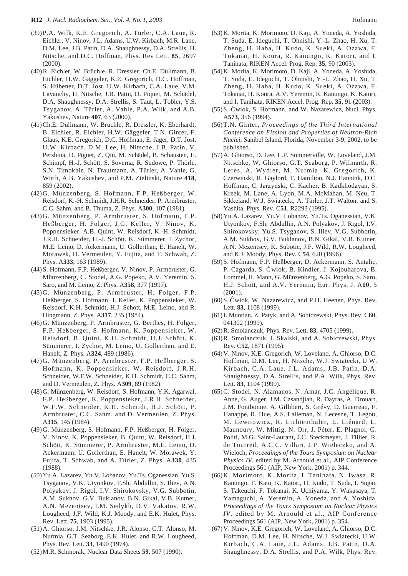- (39)P.A. Wilk, K.E. Gregorich, A. Türler, C.A. Laue, R. Eichler, V. Ninov, J.L. Adams, U.W. Kirbach, M.R. Lane, D.M. Lee, J.B. Patin, D.A. Shaughnessy, D.A. Strellis, H. Nitsche, and D.C. Hoffman, Phys. Rev Lett. **85**, 2697  $(2000)$ .
- (40)R. Eichler, W. Brüchle, R. Dressler, Ch.E. Düllmann, B. Eichler, H.W. Gäggeler, K.E. Gregorich, D.C. Hoffman, S. Hübener, D.T. Jost, U.W. Kirbach, C.A. Laue, V.M. Lavanchy, H. Nitsche, J.B. Patin, D. Piquet, M. Schädel, D.A. Shaughnessy, D.A. Strellis, S. Taut, L. Tobler, Y.S. Tsyganov, A. Türler, A. Vahle, P.A. Wilk, and A.B. Yakushev, Nature **407**, 63 (2000).
- (41)Ch.E. Düllmann, W. Brüchle, R. Dressler, K. Eberhardt, B. Eichler, R. Eichler, H.W. Gäggeler, T.N. Ginter, F. Glaus, K.E. Gregorich, D.C. Hoffman, E. Jäger, D.T. Jost, U.W. Kirbach, D.M. Lee, H. Nitsche, J.B. Patin, V. Pershina, D. Piguet, Z. Qin, M. Schädel, B. Schausten, E. Schimpf, H.-J. Schött, S. Soverna, R. Sudowe, P. Thörle, S.N. Timokhin, N. Trautmann, A. Türler, A. Vahle, G. Wirth, A.B. Yakushev, and P.M. Zielinski, Nature **418**, 859 (2002).
- (42)G. Münzenberg, S. Hofmann, F.P. Heßberger, W. Reisdorf, K.-H. Schmidt, J.H.R. Schneider, P. Armbruster, C.C. Sahm, and B. Thuma, Z. Phys. A**300**, 107 (1981).
- (43)G. Münzenberg, P. Armbruster, S. Hofmann, F.P. Heßberger, H. Folger, J.G. Keller, V. Ninov, K. Poppensieker, A.B. Quint, W. Reisdorf, K.-H. Schmidt, J.R.H. Schneider, H.-J. Schött, K. Sümmerer, I. Zychor, M.E. Leino, D. Ackermann, U. Gollerthan, E. Hanelt, W. Morawek, D. Vermeulen, Y. Fujita, and T. Schwab, Z. Phys. A**333**, 163 (1989).
- (44)S. Hofmann, F.P. Heßberger, V. Ninov, P. Armbruster, G. Münzenberg, C. Stodel, A.G. Popeko, A.V. Yeremin, S. Saro, and M. Leino, Z. Phys. A**358**, 377 (1997).
- (45)G. Münzenberg, P. Armbruster, H. Folger, F.P. Heßberger, S. Hofmann, J. Keller, K. Poppensieker, W. Reisdorf, K.H. Schmidt, H.J. Schött, M.E. Leino, and R. Hingmann, Z. Phys. A**317**, 235 (1984).
- (46)G. Münzenberg, P. Armbruster, G. Berthes, H. Folger, F.P. Heßberger, S. Hofmann, K. Poppensieker, W. Reisdorf, B. Quint, K.H. Schmidt, H.J. Schött, K. Sümmerer, I. Zychor, M. Leino, U. Gollerthan, and E. Hanelt, Z. Phys. A**324**, 489 (1986).
- (47)G. Münzenberg, P. Armbruster, F.P. Heßberger, S. Hofmann, K. Poppensieker, W. Reisdorf, J.R.H. Schneider, W.F.W. Schneider, K.H. Schmidt, C.C. Sahm, and D. Vermeulen, Z. Phys. A**309**, 89 (1982).
- (48)G. Münzenberg, W. Reisdorf, S. Hofmann, Y.K. Agarwal, F.P. Heßberger, K. Poppensieker, J.R.H. Schneider, W.F.W. Schneider, K.H. Schmidt, H.J. Schött, P. Armbruster, C.C. Sahm, and D. Vermeulen, Z. Phys. A**315**, 145 (1984).
- (49)G. Münzenberg, S. Hofmann, F.P. Heßberger, H. Folger, V. Ninov, K. Poppensieker, B. Quint, W. Reisdorf, H.J. Schött, K. Sümmerer, P. Armbruster, M.E. Leino, D. Ackermann, U. Gollerthan, E. Hanelt, W. Morawek, Y. Fujita, T. Schwab, and A. Türler, Z. Phys. A**330**, 435 (1988).
- (50)Yu.A. Lazarev, Yu.V. Lobanov, Yu.Ts. Oganessian, Yu.S. Tsyganov, V.K. Utyonkov, F.Sh. Abdullin, S. Iliev, A.N. Polyakov, J. Rigol, I.V. Shirokovsky, V.G. Subbotin, A.M. Sukhov, G.V. Buklanov, B.N. Gikal, V.B. Kutner, A.N. Mezentsev, I.M. Sedykh, D.V. Vakatov, R.W. Lougheed, J.F. Wild, K.J. Moody, and E.K. Hulet, Phys. Rev. Lett. **75**, 1903 (1995).
- (51)A. Ghiorso, J.M. Nitschke, J.R. Alonso, C.T. Alonso, M. Nurmia, G.T. Seaborg, E.K. Hulet, and R.W. Lougheed, Phys. Rev. Lett. **33**, 1490 (1974).
- (52)M.R. Schmorak, Nuclear Data Sheets **59**, 507 (1990).
- (53)K. Morita, K. Morimoto, D. Kaji, A. Yoneda, A. Yoshida, T. Suda, E. Ideguchi, T. Ohnishi, Y.-L. Zhao, H. Xu, T. Zheng, H. Haba, H. Kudo, K. Sueki, A. Ozawa, F. Tokanai, H. Koura, R. Kanungo, K. Katori, and I. Tanihata, RIKEN Accel. Prog. Rep. **35**, 90 (2003).
- (54)K. Morita, K. Morimoto, D. Kaji, A. Yoneda, A. Yoshida, T. Suda, E. Ideguchi, T. Ohnishi, Y.-L. Zhao, H. Xu, T. Zheng, H. Haba, H. Kudo, K. Sueki, A. Ozawa, F. Tokanai, H. Koura, A.V. Yeremin, R. Kanungo, K. Katori, and I. Tanihata, RIKEN Accel. Prog. Rep. **35**, 91 (2003).
- (55) S. Ćwiok, S. Hofmann, and W. Nazarewicz, Nucl. Phys. A**573**, 356 (1994).
- (56)T.N. Ginter, *Proceedings of the Third International Conference on Fission and Properties of Neutron-Rich Nuclei*, Sanibel Island, Florida, November 3-9, 2002, to be published.
- (57)A. Ghiorso, D. Lee, L.P. Sommerville, W. Loveland, J.M. Nitschke, W. Ghiorso, G.T. Seaborg, P. Wilmarth, R. Leres, A. Wydler, M. Nurmia, K. Gregorich, K. Czerwinski, R. Gaylord, T. Hamilton, N.J. Hannink, D.C. Hoffman, C. Jarzynski, C. Kacher, B. Kadkhodayan, S. Kreek, M. Lane, A. Lyon, M.A. McMahan, M. Neu, T. Sikkeland, W.J. Swiatecki, A. Türler, J.T. Walton, and S. Yashita, Phys. Rev. C**51**, R2293 (1995).
- (58)Yu.A. Lazarev, Yu.V. Lobanov, Yu.Ts. Oganessian, V.K. Utyonkov, F.Sh. Abdullin, A.N. Polyakov, J. Rigol, I.V. Shirokovsky, Yu.S. Tsyganov, S. Iliev, V.G. Subbotin, A.M. Sukhov, G.V. Buklanov, B.N. Gikal, V.B. Kutner, A.N. Mezentsev, K. Subotic, J.F. Wild, R.W. Lougheed, and K.J. Moody, Phys. Rev. C**54**, 620 (1996).
- (59)S. Hofmann, F.P. Heßberger, D. Ackermann, S. Antalic, P. Cagarda, S. Ćwiok, B. Kindler, J. Kojouharova, B. Lommel, R. Mann, G. Münzenberg, A.G. Popeko, S. Saro, H.J. Schött, and A.V. Yeremin, Eur. Phys. J. A**10**, 5 (2001).
- (60) S. Ćwiok, W. Nazarewicz, and P.H. Heenen, Phys. Rev. Lett. **83**, 1108 (1999).
- (61)I. Muntian, Z. Patyk, and A. Sobiczewski, Phys. Rev. C**60**, 041302 (1999).
- (62)R. Smolanczuk, Phys. Rev. Lett. **83**, 4705 (1999).
- (63)R. Smolanczuk, J. Skalski, and A. Sobiczewski, Phys. Rev. C**52**, 1871 (1995).
- (64)V. Ninov, K.E. Gregorich, W. Loveland, A. Ghiorso, D.C. Hoffman, D.M. Lee, H. Nitsche, W.J. Swiatecki, U.W. Kirbach, C.A. Laue, J.L. Adams, J.B. Patin, D.A. Shaughnessy, D.A. Strellis, and P.A. Wilk, Phys. Rev. Lett. **83**, 1104 (1999).
- (65)C. Stodel, N. Alamanos, N. Amar, J.C. Angélique, R. Anne, G. Auger, J.M. Casandjian, R. Dayras, A. Drouart, J.M. Fontbonne, A. Gillibert, S. Grévy, D. Guerreau, F. Hanappe, R. Hue, A.S. Lalleman, N. Lecesne, T. Legou, M. Lewitowicz, R. Lichtenthäler, E. Liénard, L. Maunoury, W. Mittig, N. Orr, J. Péter, E. Plagnol, G. Politi, M.G. Saint-Laurant, J.C. Steckmeyer, J. Tillier, R. de Tourreil, A.C.C. Villari, J.P. Wieleczko, and A. Wieloch, *Proceedings of the Tours Symposium on Nuclear Physics IV,* edited by M. Arnould et al., AIP Conference Proceedings 561 (AIP, New York, 2001) p. 344.
- (66)K. Morimoto, K. Morita, I. Tanihata, N. Iwasa, R. Kanungo, T. Kato, K. Katori, H. Kudo, T. Suda, I. Sugai, S. Takeuchi, F. Tokanai, K. Uchiyama, Y. Wakasaya, T. Yamaguchi, A. Yeremin, A. Yoneda, and A. Yoshida, *Proceedings of the Tours Symposium on Nuclear Physics IV,* edited by M. Arnould et al., AIP Conference Proceedings 561 (AIP, New York, 2001) p. 354.
- (67)V. Ninov, K.E. Gregorich, W. Loveland, A. Ghiorso, D.C. Hoffman, D.M. Lee, H. Nitsche, W.J. Swiatecki, U.W. Kirbach, C.A. Laue, J.L. Adams, J.B. Patin, D.A. Shaughnessy, D.A. Strellis, and P.A. Wilk, Phys. Rev.